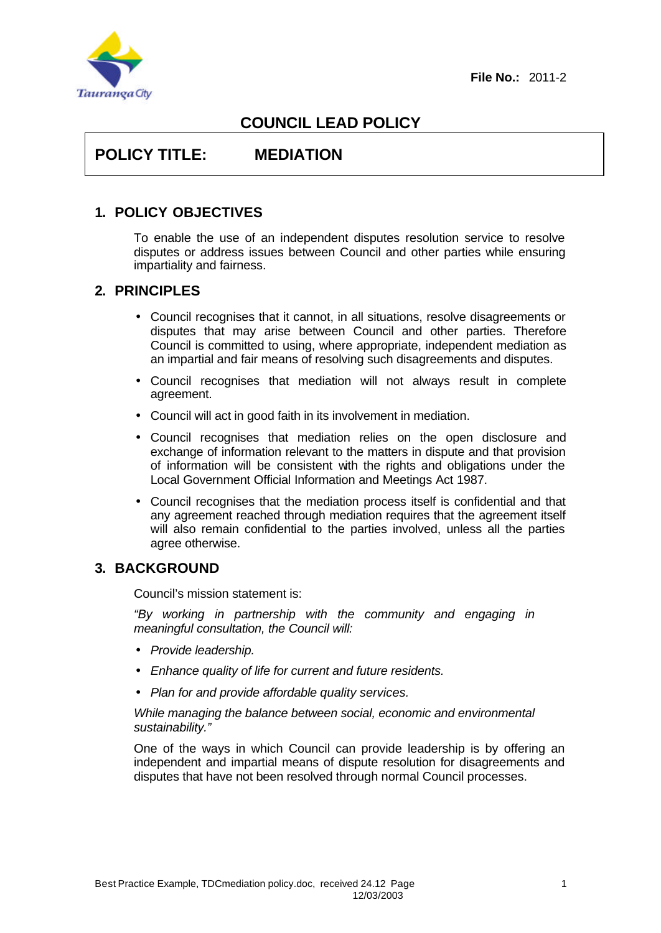

# **COUNCIL LEAD POLICY**

# **POLICY TITLE: MEDIATION**

# **1. POLICY OBJECTIVES**

To enable the use of an independent disputes resolution service to resolve disputes or address issues between Council and other parties while ensuring impartiality and fairness.

# **2. PRINCIPLES**

- Council recognises that it cannot, in all situations, resolve disagreements or disputes that may arise between Council and other parties. Therefore Council is committed to using, where appropriate, independent mediation as an impartial and fair means of resolving such disagreements and disputes.
- Council recognises that mediation will not always result in complete agreement.
- Council will act in good faith in its involvement in mediation.
- Council recognises that mediation relies on the open disclosure and exchange of information relevant to the matters in dispute and that provision of information will be consistent with the rights and obligations under the Local Government Official Information and Meetings Act 1987.
- Council recognises that the mediation process itself is confidential and that any agreement reached through mediation requires that the agreement itself will also remain confidential to the parties involved, unless all the parties agree otherwise.

# **3. BACKGROUND**

Council's mission statement is:

*"By working in partnership with the community and engaging in meaningful consultation, the Council will:*

- *Provide leadership.*
- *Enhance quality of life for current and future residents.*
- *Plan for and provide affordable quality services.*

*While managing the balance between social, economic and environmental sustainability."*

One of the ways in which Council can provide leadership is by offering an independent and impartial means of dispute resolution for disagreements and disputes that have not been resolved through normal Council processes.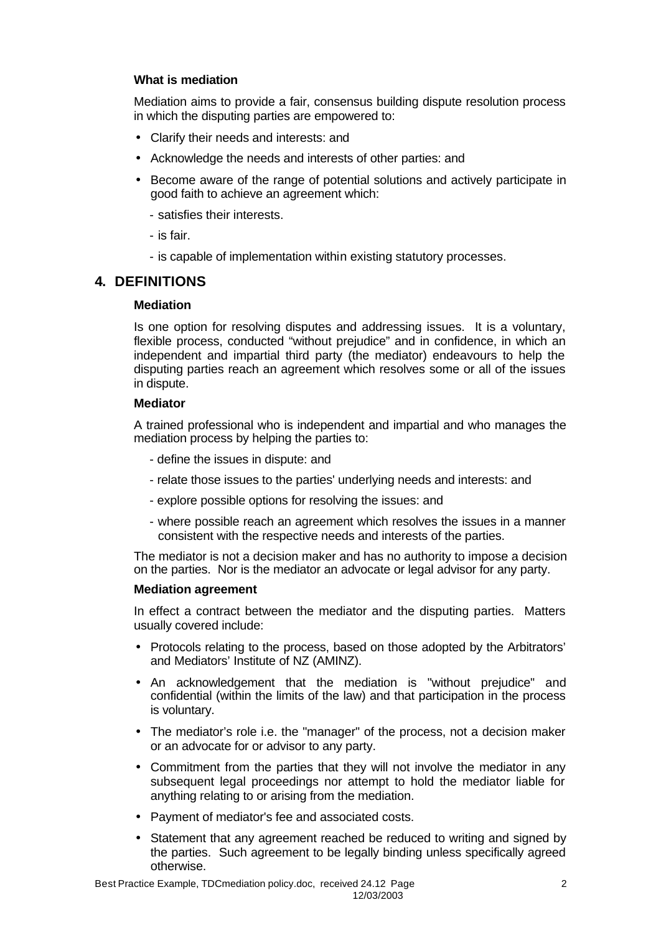### **What is mediation**

Mediation aims to provide a fair, consensus building dispute resolution process in which the disputing parties are empowered to:

- Clarify their needs and interests: and
- Acknowledge the needs and interests of other parties: and
- Become aware of the range of potential solutions and actively participate in good faith to achieve an agreement which:
	- satisfies their interests.
	- is fair.
	- is capable of implementation within existing statutory processes.

# **4. DEFINITIONS**

### **Mediation**

Is one option for resolving disputes and addressing issues. It is a voluntary, flexible process, conducted "without prejudice" and in confidence, in which an independent and impartial third party (the mediator) endeavours to help the disputing parties reach an agreement which resolves some or all of the issues in dispute.

### **Mediator**

A trained professional who is independent and impartial and who manages the mediation process by helping the parties to:

- define the issues in dispute: and
- relate those issues to the parties' underlying needs and interests: and
- explore possible options for resolving the issues: and
- where possible reach an agreement which resolves the issues in a manner consistent with the respective needs and interests of the parties.

The mediator is not a decision maker and has no authority to impose a decision on the parties. Nor is the mediator an advocate or legal advisor for any party.

#### **Mediation agreement**

In effect a contract between the mediator and the disputing parties. Matters usually covered include:

- Protocols relating to the process, based on those adopted by the Arbitrators' and Mediators' Institute of NZ (AMINZ).
- An acknowledgement that the mediation is "without prejudice" and confidential (within the limits of the law) and that participation in the process is voluntary.
- The mediator's role i.e. the "manager" of the process, not a decision maker or an advocate for or advisor to any party.
- Commitment from the parties that they will not involve the mediator in any subsequent legal proceedings nor attempt to hold the mediator liable for anything relating to or arising from the mediation.
- Payment of mediator's fee and associated costs.
- Statement that any agreement reached be reduced to writing and signed by the parties. Such agreement to be legally binding unless specifically agreed otherwise.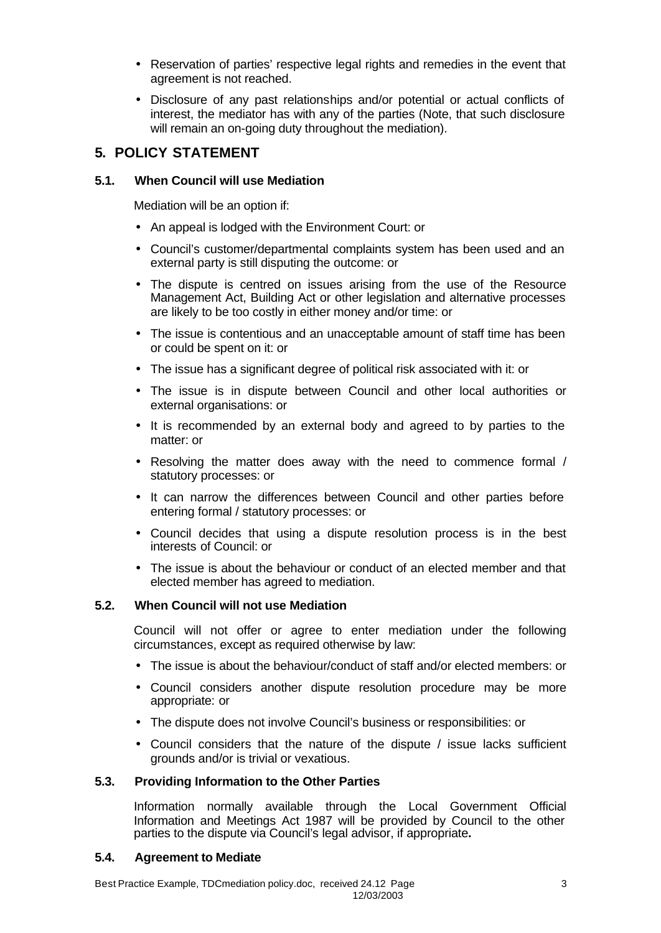- Reservation of parties' respective legal rights and remedies in the event that agreement is not reached.
- Disclosure of any past relationships and/or potential or actual conflicts of interest, the mediator has with any of the parties (Note, that such disclosure will remain an on-going duty throughout the mediation).

# **5. POLICY STATEMENT**

### **5.1. When Council will use Mediation**

Mediation will be an option if:

- An appeal is lodged with the Environment Court: or
- Council's customer/departmental complaints system has been used and an external party is still disputing the outcome: or
- The dispute is centred on issues arising from the use of the Resource Management Act. Building Act or other legislation and alternative processes are likely to be too costly in either money and/or time: or
- The issue is contentious and an unacceptable amount of staff time has been or could be spent on it: or
- The issue has a significant degree of political risk associated with it: or
- The issue is in dispute between Council and other local authorities or external organisations: or
- It is recommended by an external body and agreed to by parties to the matter: or
- Resolving the matter does away with the need to commence formal / statutory processes: or
- It can narrow the differences between Council and other parties before entering formal / statutory processes: or
- Council decides that using a dispute resolution process is in the best interests of Council: or
- The issue is about the behaviour or conduct of an elected member and that elected member has agreed to mediation.

# **5.2. When Council will not use Mediation**

Council will not offer or agree to enter mediation under the following circumstances, except as required otherwise by law:

- The issue is about the behaviour/conduct of staff and/or elected members: or
- Council considers another dispute resolution procedure may be more appropriate: or
- The dispute does not involve Council's business or responsibilities: or
- Council considers that the nature of the dispute / issue lacks sufficient grounds and/or is trivial or vexatious.

# **5.3. Providing Information to the Other Parties**

Information normally available through the Local Government Official Information and Meetings Act 1987 will be provided by Council to the other parties to the dispute via Council's legal advisor, if appropriate**.**

### **5.4. Agreement to Mediate**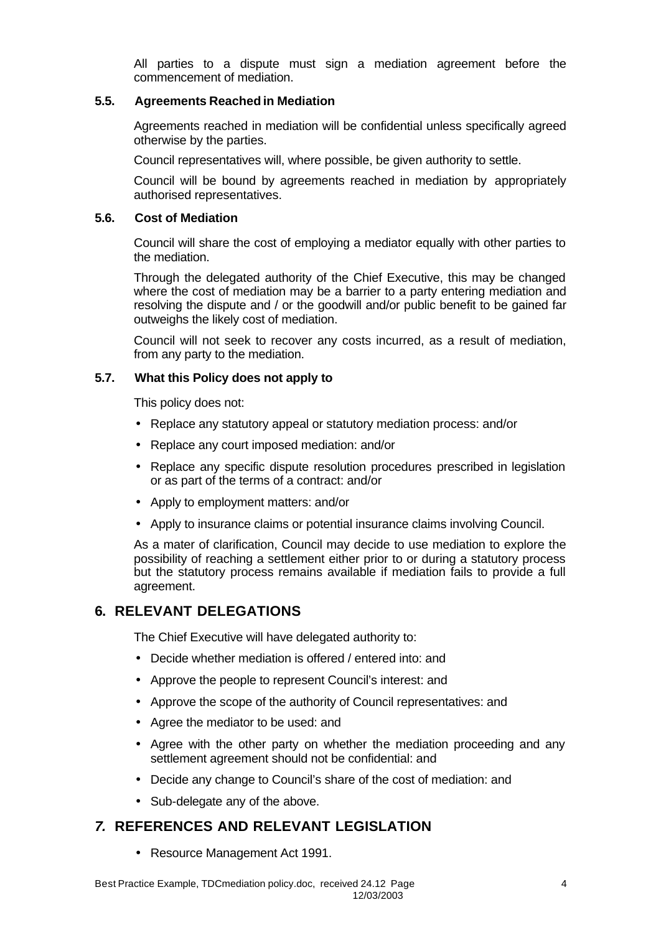All parties to a dispute must sign a mediation agreement before the commencement of mediation.

### **5.5. Agreements Reached in Mediation**

Agreements reached in mediation will be confidential unless specifically agreed otherwise by the parties.

Council representatives will, where possible, be given authority to settle.

Council will be bound by agreements reached in mediation by appropriately authorised representatives.

### **5.6. Cost of Mediation**

Council will share the cost of employing a mediator equally with other parties to the mediation.

Through the delegated authority of the Chief Executive, this may be changed where the cost of mediation may be a barrier to a party entering mediation and resolving the dispute and / or the goodwill and/or public benefit to be gained far outweighs the likely cost of mediation.

Council will not seek to recover any costs incurred, as a result of mediation, from any party to the mediation.

### **5.7. What this Policy does not apply to**

This policy does not:

- Replace any statutory appeal or statutory mediation process: and/or
- Replace any court imposed mediation: and/or
- Replace any specific dispute resolution procedures prescribed in legislation or as part of the terms of a contract: and/or
- Apply to employment matters: and/or
- Apply to insurance claims or potential insurance claims involving Council.

As a mater of clarification, Council may decide to use mediation to explore the possibility of reaching a settlement either prior to or during a statutory process but the statutory process remains available if mediation fails to provide a full agreement.

# **6. RELEVANT DELEGATIONS**

The Chief Executive will have delegated authority to:

- Decide whether mediation is offered / entered into: and
- Approve the people to represent Council's interest: and
- Approve the scope of the authority of Council representatives: and
- Agree the mediator to be used: and
- Agree with the other party on whether the mediation proceeding and any settlement agreement should not be confidential: and
- Decide any change to Council's share of the cost of mediation: and
- Sub-delegate any of the above.

# *7.* **REFERENCES AND RELEVANT LEGISLATION**

• Resource Management Act 1991.